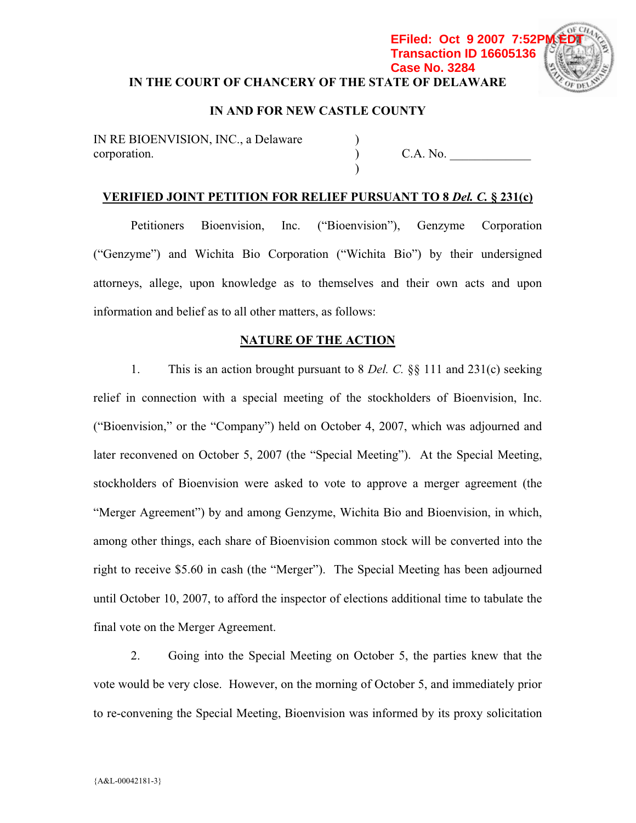# **IN THE COURT OF CHANCERY OF THE STATE OF DELAWARE Transaction ID 16605136 Case No. 3284**



## **IN AND FOR NEW CASTLE COUNTY**

) )  $\lambda$ 

IN RE BIOENVISION, INC., a Delaware corporation.

C.A. No.

## **VERIFIED JOINT PETITION FOR RELIEF PURSUANT TO 8** *Del. C.* **§ 231(c)**

Petitioners Bioenvision, Inc. ("Bioenvision"), Genzyme Corporation ("Genzyme") and Wichita Bio Corporation ("Wichita Bio") by their undersigned attorneys, allege, upon knowledge as to themselves and their own acts and upon information and belief as to all other matters, as follows:

### **NATURE OF THE ACTION**

1. This is an action brought pursuant to 8 *Del. C.* §§ 111 and 231(c) seeking relief in connection with a special meeting of the stockholders of Bioenvision, Inc. ("Bioenvision," or the "Company") held on October 4, 2007, which was adjourned and later reconvened on October 5, 2007 (the "Special Meeting"). At the Special Meeting, stockholders of Bioenvision were asked to vote to approve a merger agreement (the "Merger Agreement") by and among Genzyme, Wichita Bio and Bioenvision, in which, among other things, each share of Bioenvision common stock will be converted into the right to receive \$5.60 in cash (the "Merger"). The Special Meeting has been adjourned until October 10, 2007, to afford the inspector of elections additional time to tabulate the final vote on the Merger Agreement.

2. Going into the Special Meeting on October 5, the parties knew that the vote would be very close. However, on the morning of October 5, and immediately prior to re-convening the Special Meeting, Bioenvision was informed by its proxy solicitation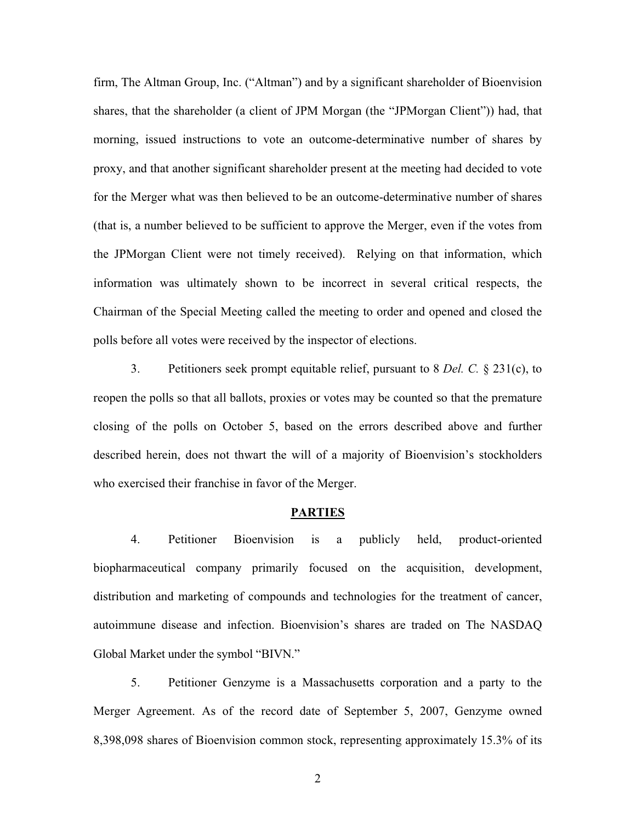firm, The Altman Group, Inc. ("Altman") and by a significant shareholder of Bioenvision shares, that the shareholder (a client of JPM Morgan (the "JPMorgan Client")) had, that morning, issued instructions to vote an outcome-determinative number of shares by proxy, and that another significant shareholder present at the meeting had decided to vote for the Merger what was then believed to be an outcome-determinative number of shares (that is, a number believed to be sufficient to approve the Merger, even if the votes from the JPMorgan Client were not timely received). Relying on that information, which information was ultimately shown to be incorrect in several critical respects, the Chairman of the Special Meeting called the meeting to order and opened and closed the polls before all votes were received by the inspector of elections.

3. Petitioners seek prompt equitable relief, pursuant to 8 *Del. C.* § 231(c), to reopen the polls so that all ballots, proxies or votes may be counted so that the premature closing of the polls on October 5, based on the errors described above and further described herein, does not thwart the will of a majority of Bioenvision's stockholders who exercised their franchise in favor of the Merger.

#### **PARTIES**

4. Petitioner Bioenvision is a publicly held, product-oriented biopharmaceutical company primarily focused on the acquisition, development, distribution and marketing of compounds and technologies for the treatment of cancer, autoimmune disease and infection. Bioenvision's shares are traded on The NASDAQ Global Market under the symbol "BIVN."

5. Petitioner Genzyme is a Massachusetts corporation and a party to the Merger Agreement. As of the record date of September 5, 2007, Genzyme owned 8,398,098 shares of Bioenvision common stock, representing approximately 15.3% of its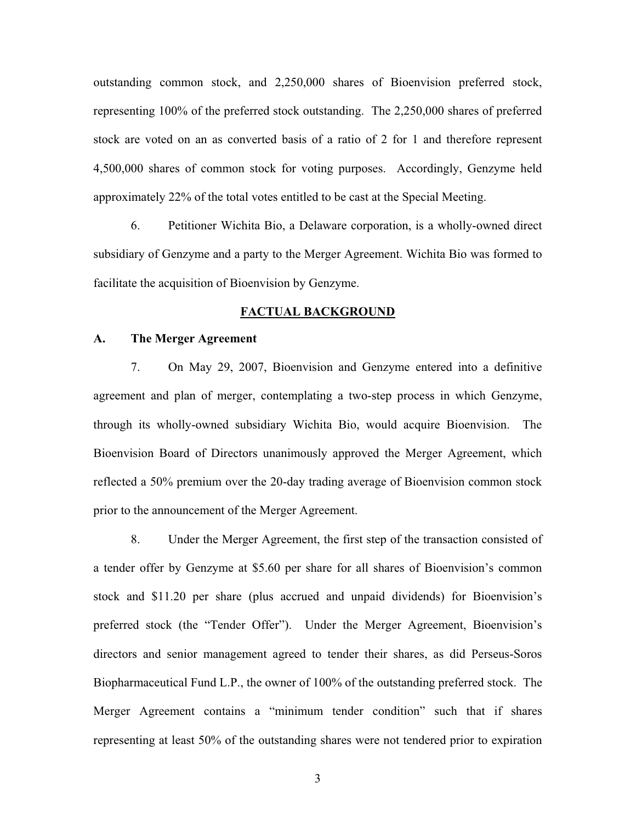outstanding common stock, and 2,250,000 shares of Bioenvision preferred stock, representing 100% of the preferred stock outstanding. The 2,250,000 shares of preferred stock are voted on an as converted basis of a ratio of 2 for 1 and therefore represent 4,500,000 shares of common stock for voting purposes. Accordingly, Genzyme held approximately 22% of the total votes entitled to be cast at the Special Meeting.

6. Petitioner Wichita Bio, a Delaware corporation, is a wholly-owned direct subsidiary of Genzyme and a party to the Merger Agreement. Wichita Bio was formed to facilitate the acquisition of Bioenvision by Genzyme.

#### **FACTUAL BACKGROUND**

#### **A. The Merger Agreement**

7. On May 29, 2007, Bioenvision and Genzyme entered into a definitive agreement and plan of merger, contemplating a two-step process in which Genzyme, through its wholly-owned subsidiary Wichita Bio, would acquire Bioenvision. The Bioenvision Board of Directors unanimously approved the Merger Agreement, which reflected a 50% premium over the 20-day trading average of Bioenvision common stock prior to the announcement of the Merger Agreement.

8. Under the Merger Agreement, the first step of the transaction consisted of a tender offer by Genzyme at \$5.60 per share for all shares of Bioenvision's common stock and \$11.20 per share (plus accrued and unpaid dividends) for Bioenvision's preferred stock (the "Tender Offer"). Under the Merger Agreement, Bioenvision's directors and senior management agreed to tender their shares, as did Perseus-Soros Biopharmaceutical Fund L.P., the owner of 100% of the outstanding preferred stock. The Merger Agreement contains a "minimum tender condition" such that if shares representing at least 50% of the outstanding shares were not tendered prior to expiration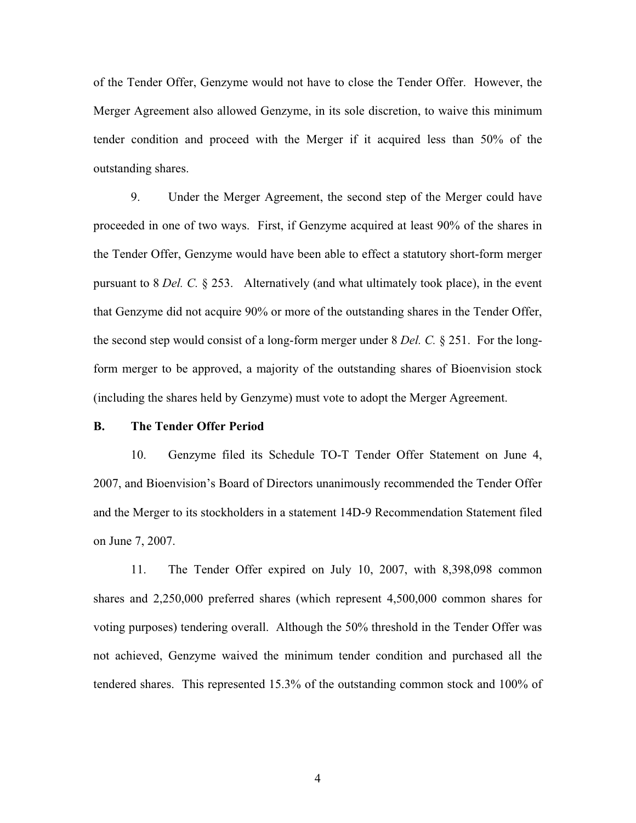of the Tender Offer, Genzyme would not have to close the Tender Offer. However, the Merger Agreement also allowed Genzyme, in its sole discretion, to waive this minimum tender condition and proceed with the Merger if it acquired less than 50% of the outstanding shares.

9. Under the Merger Agreement, the second step of the Merger could have proceeded in one of two ways. First, if Genzyme acquired at least 90% of the shares in the Tender Offer, Genzyme would have been able to effect a statutory short-form merger pursuant to 8 *Del. C.* § 253. Alternatively (and what ultimately took place), in the event that Genzyme did not acquire 90% or more of the outstanding shares in the Tender Offer, the second step would consist of a long-form merger under 8 *Del. C.* § 251. For the longform merger to be approved, a majority of the outstanding shares of Bioenvision stock (including the shares held by Genzyme) must vote to adopt the Merger Agreement.

#### **B. The Tender Offer Period**

10. Genzyme filed its Schedule TO-T Tender Offer Statement on June 4, 2007, and Bioenvision's Board of Directors unanimously recommended the Tender Offer and the Merger to its stockholders in a statement 14D-9 Recommendation Statement filed on June 7, 2007.

11. The Tender Offer expired on July 10, 2007, with 8,398,098 common shares and 2,250,000 preferred shares (which represent 4,500,000 common shares for voting purposes) tendering overall. Although the 50% threshold in the Tender Offer was not achieved, Genzyme waived the minimum tender condition and purchased all the tendered shares. This represented 15.3% of the outstanding common stock and 100% of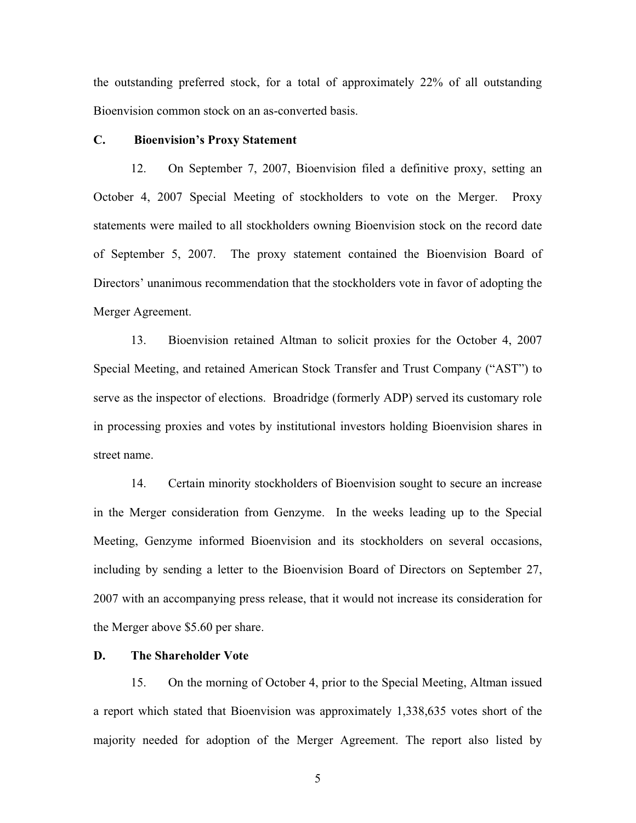the outstanding preferred stock, for a total of approximately 22% of all outstanding Bioenvision common stock on an as-converted basis.

### **C. Bioenvision's Proxy Statement**

12. On September 7, 2007, Bioenvision filed a definitive proxy, setting an October 4, 2007 Special Meeting of stockholders to vote on the Merger. Proxy statements were mailed to all stockholders owning Bioenvision stock on the record date of September 5, 2007. The proxy statement contained the Bioenvision Board of Directors' unanimous recommendation that the stockholders vote in favor of adopting the Merger Agreement.

13. Bioenvision retained Altman to solicit proxies for the October 4, 2007 Special Meeting, and retained American Stock Transfer and Trust Company ("AST") to serve as the inspector of elections. Broadridge (formerly ADP) served its customary role in processing proxies and votes by institutional investors holding Bioenvision shares in street name.

14. Certain minority stockholders of Bioenvision sought to secure an increase in the Merger consideration from Genzyme. In the weeks leading up to the Special Meeting, Genzyme informed Bioenvision and its stockholders on several occasions, including by sending a letter to the Bioenvision Board of Directors on September 27, 2007 with an accompanying press release, that it would not increase its consideration for the Merger above \$5.60 per share.

### **D. The Shareholder Vote**

15. On the morning of October 4, prior to the Special Meeting, Altman issued a report which stated that Bioenvision was approximately 1,338,635 votes short of the majority needed for adoption of the Merger Agreement. The report also listed by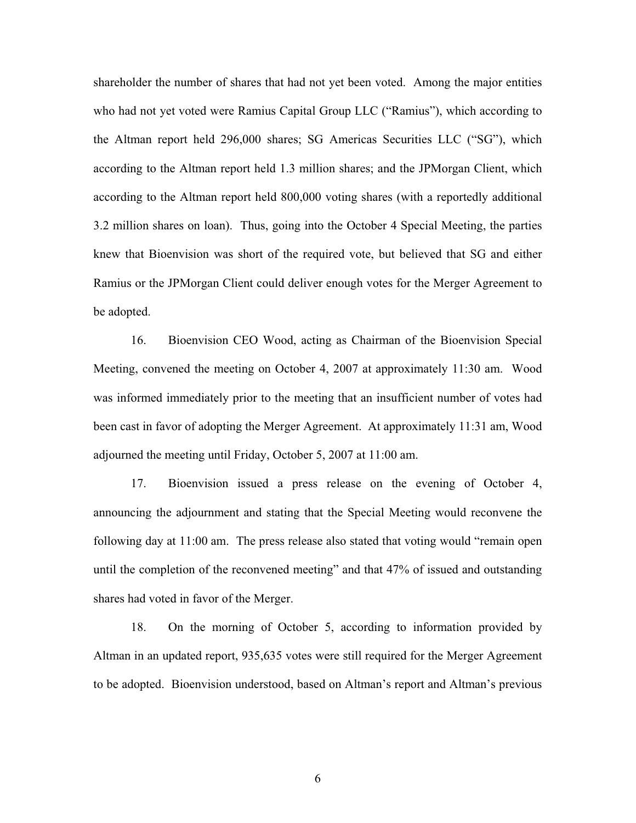shareholder the number of shares that had not yet been voted. Among the major entities who had not yet voted were Ramius Capital Group LLC ("Ramius"), which according to the Altman report held 296,000 shares; SG Americas Securities LLC ("SG"), which according to the Altman report held 1.3 million shares; and the JPMorgan Client, which according to the Altman report held 800,000 voting shares (with a reportedly additional 3.2 million shares on loan). Thus, going into the October 4 Special Meeting, the parties knew that Bioenvision was short of the required vote, but believed that SG and either Ramius or the JPMorgan Client could deliver enough votes for the Merger Agreement to be adopted.

16. Bioenvision CEO Wood, acting as Chairman of the Bioenvision Special Meeting, convened the meeting on October 4, 2007 at approximately 11:30 am. Wood was informed immediately prior to the meeting that an insufficient number of votes had been cast in favor of adopting the Merger Agreement. At approximately 11:31 am, Wood adjourned the meeting until Friday, October 5, 2007 at 11:00 am.

17. Bioenvision issued a press release on the evening of October 4, announcing the adjournment and stating that the Special Meeting would reconvene the following day at 11:00 am. The press release also stated that voting would "remain open until the completion of the reconvened meeting" and that 47% of issued and outstanding shares had voted in favor of the Merger.

18. On the morning of October 5, according to information provided by Altman in an updated report, 935,635 votes were still required for the Merger Agreement to be adopted. Bioenvision understood, based on Altman's report and Altman's previous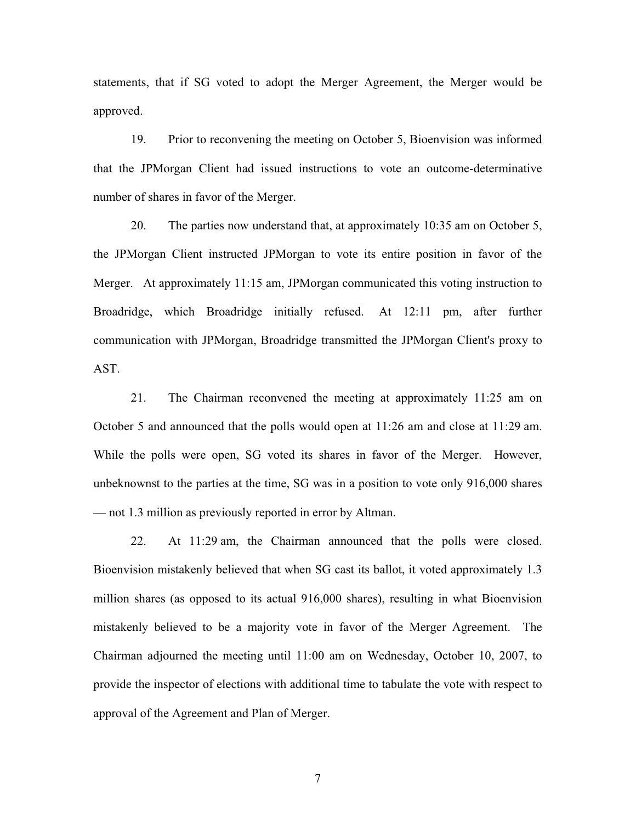statements, that if SG voted to adopt the Merger Agreement, the Merger would be approved.

19. Prior to reconvening the meeting on October 5, Bioenvision was informed that the JPMorgan Client had issued instructions to vote an outcome-determinative number of shares in favor of the Merger.

20. The parties now understand that, at approximately 10:35 am on October 5, the JPMorgan Client instructed JPMorgan to vote its entire position in favor of the Merger. At approximately 11:15 am, JPMorgan communicated this voting instruction to Broadridge, which Broadridge initially refused. At 12:11 pm, after further communication with JPMorgan, Broadridge transmitted the JPMorgan Client's proxy to AST.

21. The Chairman reconvened the meeting at approximately 11:25 am on October 5 and announced that the polls would open at 11:26 am and close at 11:29 am. While the polls were open, SG voted its shares in favor of the Merger. However, unbeknownst to the parties at the time, SG was in a position to vote only 916,000 shares — not 1.3 million as previously reported in error by Altman.

22. At 11:29 am, the Chairman announced that the polls were closed. Bioenvision mistakenly believed that when SG cast its ballot, it voted approximately 1.3 million shares (as opposed to its actual 916,000 shares), resulting in what Bioenvision mistakenly believed to be a majority vote in favor of the Merger Agreement. The Chairman adjourned the meeting until 11:00 am on Wednesday, October 10, 2007, to provide the inspector of elections with additional time to tabulate the vote with respect to approval of the Agreement and Plan of Merger.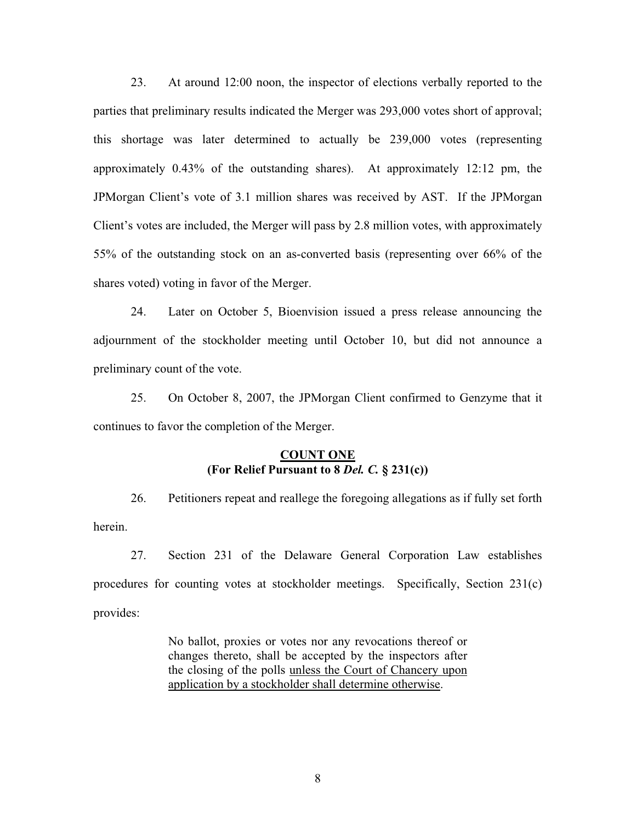23. At around 12:00 noon, the inspector of elections verbally reported to the parties that preliminary results indicated the Merger was 293,000 votes short of approval; this shortage was later determined to actually be 239,000 votes (representing approximately 0.43% of the outstanding shares). At approximately 12:12 pm, the JPMorgan Client's vote of 3.1 million shares was received by AST. If the JPMorgan Client's votes are included, the Merger will pass by 2.8 million votes, with approximately 55% of the outstanding stock on an as-converted basis (representing over 66% of the shares voted) voting in favor of the Merger.

24. Later on October 5, Bioenvision issued a press release announcing the adjournment of the stockholder meeting until October 10, but did not announce a preliminary count of the vote.

25. On October 8, 2007, the JPMorgan Client confirmed to Genzyme that it continues to favor the completion of the Merger.

## **COUNT ONE (For Relief Pursuant to 8** *Del. C.* **§ 231(c))**

26. Petitioners repeat and reallege the foregoing allegations as if fully set forth herein.

27. Section 231 of the Delaware General Corporation Law establishes procedures for counting votes at stockholder meetings. Specifically, Section 231(c) provides:

> No ballot, proxies or votes nor any revocations thereof or changes thereto, shall be accepted by the inspectors after the closing of the polls unless the Court of Chancery upon application by a stockholder shall determine otherwise.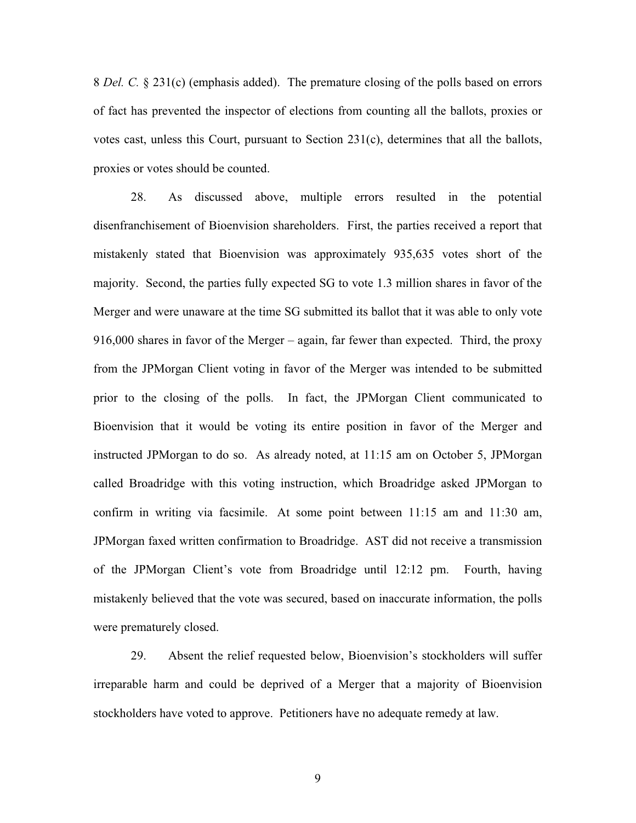8 *Del. C.* § 231(c) (emphasis added). The premature closing of the polls based on errors of fact has prevented the inspector of elections from counting all the ballots, proxies or votes cast, unless this Court, pursuant to Section 231(c), determines that all the ballots, proxies or votes should be counted.

28. As discussed above, multiple errors resulted in the potential disenfranchisement of Bioenvision shareholders. First, the parties received a report that mistakenly stated that Bioenvision was approximately 935,635 votes short of the majority. Second, the parties fully expected SG to vote 1.3 million shares in favor of the Merger and were unaware at the time SG submitted its ballot that it was able to only vote 916,000 shares in favor of the Merger – again, far fewer than expected. Third, the proxy from the JPMorgan Client voting in favor of the Merger was intended to be submitted prior to the closing of the polls. In fact, the JPMorgan Client communicated to Bioenvision that it would be voting its entire position in favor of the Merger and instructed JPMorgan to do so. As already noted, at 11:15 am on October 5, JPMorgan called Broadridge with this voting instruction, which Broadridge asked JPMorgan to confirm in writing via facsimile. At some point between 11:15 am and 11:30 am, JPMorgan faxed written confirmation to Broadridge. AST did not receive a transmission of the JPMorgan Client's vote from Broadridge until 12:12 pm. Fourth, having mistakenly believed that the vote was secured, based on inaccurate information, the polls were prematurely closed.

29. Absent the relief requested below, Bioenvision's stockholders will suffer irreparable harm and could be deprived of a Merger that a majority of Bioenvision stockholders have voted to approve. Petitioners have no adequate remedy at law.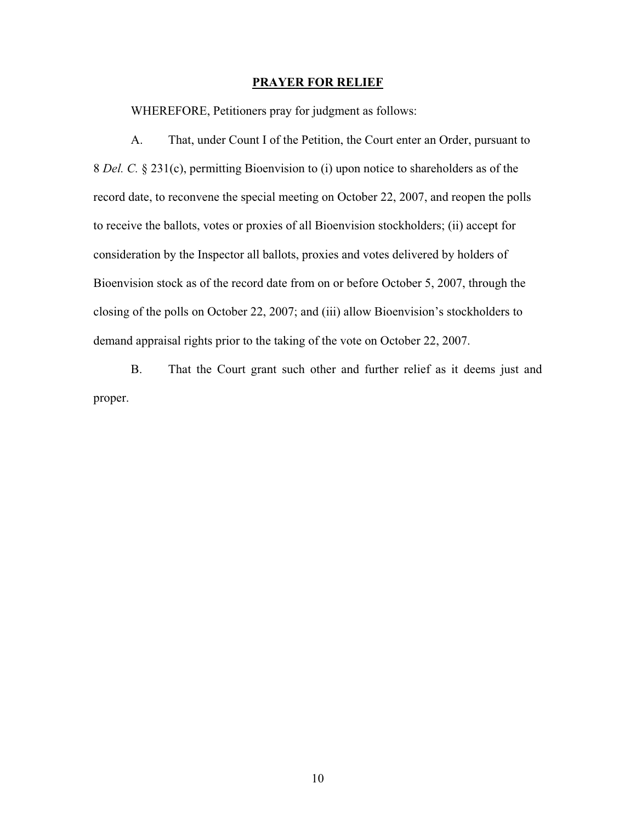#### **PRAYER FOR RELIEF**

WHEREFORE, Petitioners pray for judgment as follows:

A. That, under Count I of the Petition, the Court enter an Order, pursuant to 8 *Del. C.* § 231(c), permitting Bioenvision to (i) upon notice to shareholders as of the record date, to reconvene the special meeting on October 22, 2007, and reopen the polls to receive the ballots, votes or proxies of all Bioenvision stockholders; (ii) accept for consideration by the Inspector all ballots, proxies and votes delivered by holders of Bioenvision stock as of the record date from on or before October 5, 2007, through the closing of the polls on October 22, 2007; and (iii) allow Bioenvision's stockholders to demand appraisal rights prior to the taking of the vote on October 22, 2007.

B. That the Court grant such other and further relief as it deems just and proper.